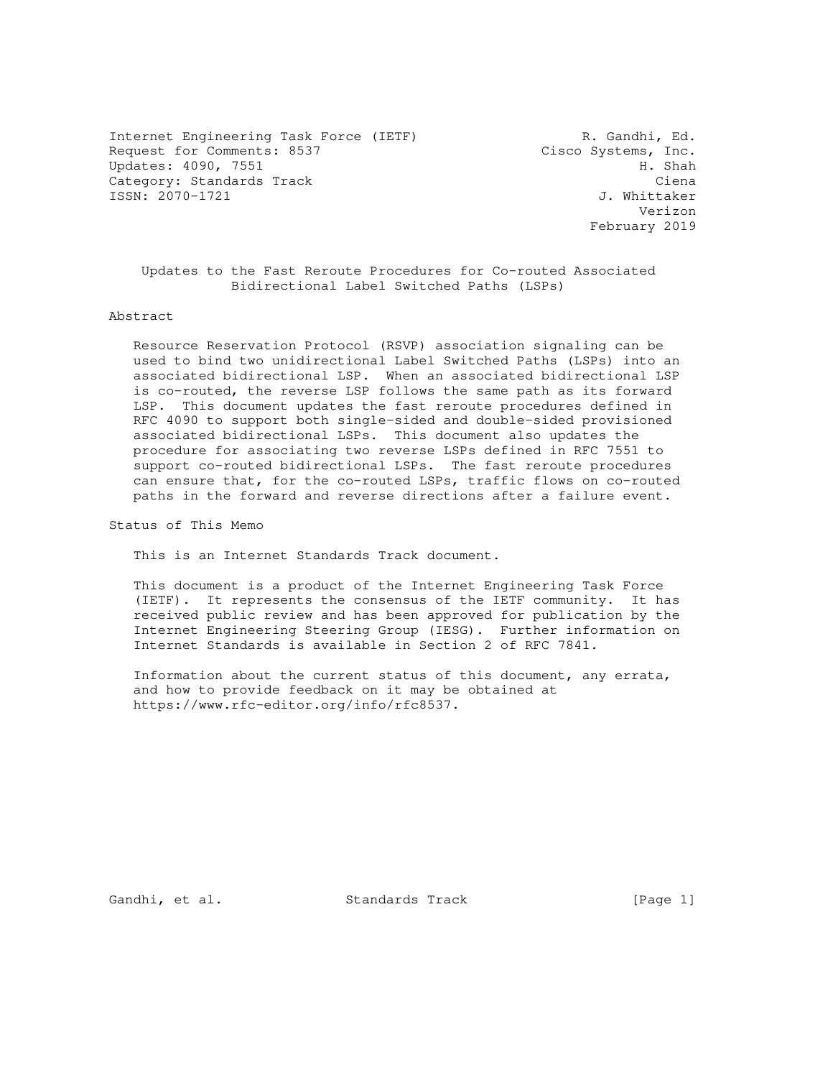Internet Engineering Task Force (IETF) R. Gandhi, Ed. Request for Comments: 8537 Cisco Systems, Inc. Updates: 4090, 7551 H. Shah Category: Standards Track Category: Ciena<br>
Ciena (1938) 1970–1721<br>
Ciena (1938) 1. Whittaker ISSN: 2070-1721

 Verizon February 2019

 Updates to the Fast Reroute Procedures for Co-routed Associated Bidirectional Label Switched Paths (LSPs)

#### Abstract

 Resource Reservation Protocol (RSVP) association signaling can be used to bind two unidirectional Label Switched Paths (LSPs) into an associated bidirectional LSP. When an associated bidirectional LSP is co-routed, the reverse LSP follows the same path as its forward LSP. This document updates the fast reroute procedures defined in RFC 4090 to support both single-sided and double-sided provisioned associated bidirectional LSPs. This document also updates the procedure for associating two reverse LSPs defined in RFC 7551 to support co-routed bidirectional LSPs. The fast reroute procedures can ensure that, for the co-routed LSPs, traffic flows on co-routed paths in the forward and reverse directions after a failure event.

Status of This Memo

This is an Internet Standards Track document.

 This document is a product of the Internet Engineering Task Force (IETF). It represents the consensus of the IETF community. It has received public review and has been approved for publication by the Internet Engineering Steering Group (IESG). Further information on Internet Standards is available in Section 2 of RFC 7841.

 Information about the current status of this document, any errata, and how to provide feedback on it may be obtained at https://www.rfc-editor.org/info/rfc8537.

Gandhi, et al. Standards Track [Page 1]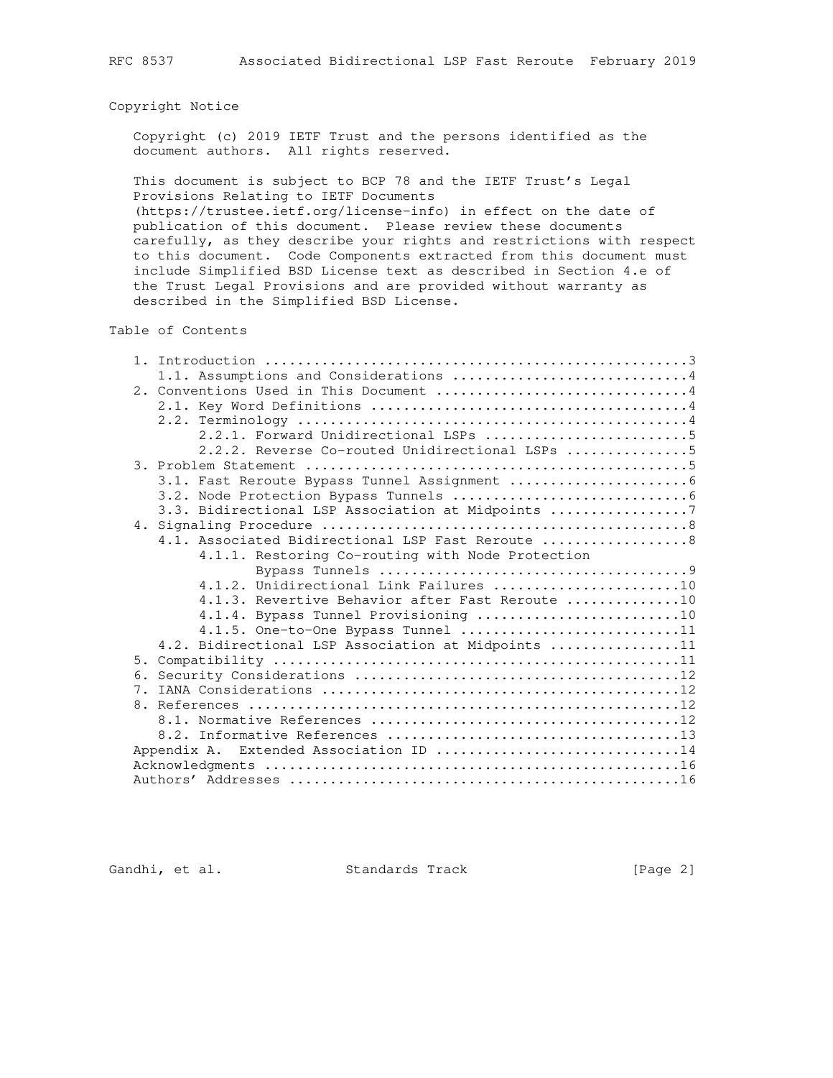# Copyright Notice

 Copyright (c) 2019 IETF Trust and the persons identified as the document authors. All rights reserved.

 This document is subject to BCP 78 and the IETF Trust's Legal Provisions Relating to IETF Documents (https://trustee.ietf.org/license-info) in effect on the date of

 publication of this document. Please review these documents carefully, as they describe your rights and restrictions with respect to this document. Code Components extracted from this document must include Simplified BSD License text as described in Section 4.e of the Trust Legal Provisions and are provided without warranty as described in the Simplified BSD License.

### Table of Contents

|    | 1.1. Assumptions and Considerations 4              |
|----|----------------------------------------------------|
|    | 2. Conventions Used in This Document 4             |
|    |                                                    |
|    |                                                    |
|    | 2.2.1. Forward Unidirectional LSPs 5               |
|    | 2.2.2. Reverse Co-routed Unidirectional LSPs 5     |
|    |                                                    |
|    |                                                    |
|    |                                                    |
|    | 3.3. Bidirectional LSP Association at Midpoints 7  |
|    |                                                    |
|    | 4.1. Associated Bidirectional LSP Fast Reroute  8  |
|    | 4.1.1. Restoring Co-routing with Node Protection   |
|    |                                                    |
|    |                                                    |
|    | 4.1.3. Revertive Behavior after Fast Reroute 10    |
|    | 4.1.4. Bypass Tunnel Provisioning 10               |
|    | 4.1.5. One-to-One Bypass Tunnel 11                 |
|    | 4.2. Bidirectional LSP Association at Midpoints 11 |
|    |                                                    |
| 6. |                                                    |
|    |                                                    |
|    |                                                    |
|    |                                                    |
|    |                                                    |
|    | Appendix A. Extended Association ID 14             |
|    |                                                    |
|    |                                                    |

Gandhi, et al. Standards Track [Page 2]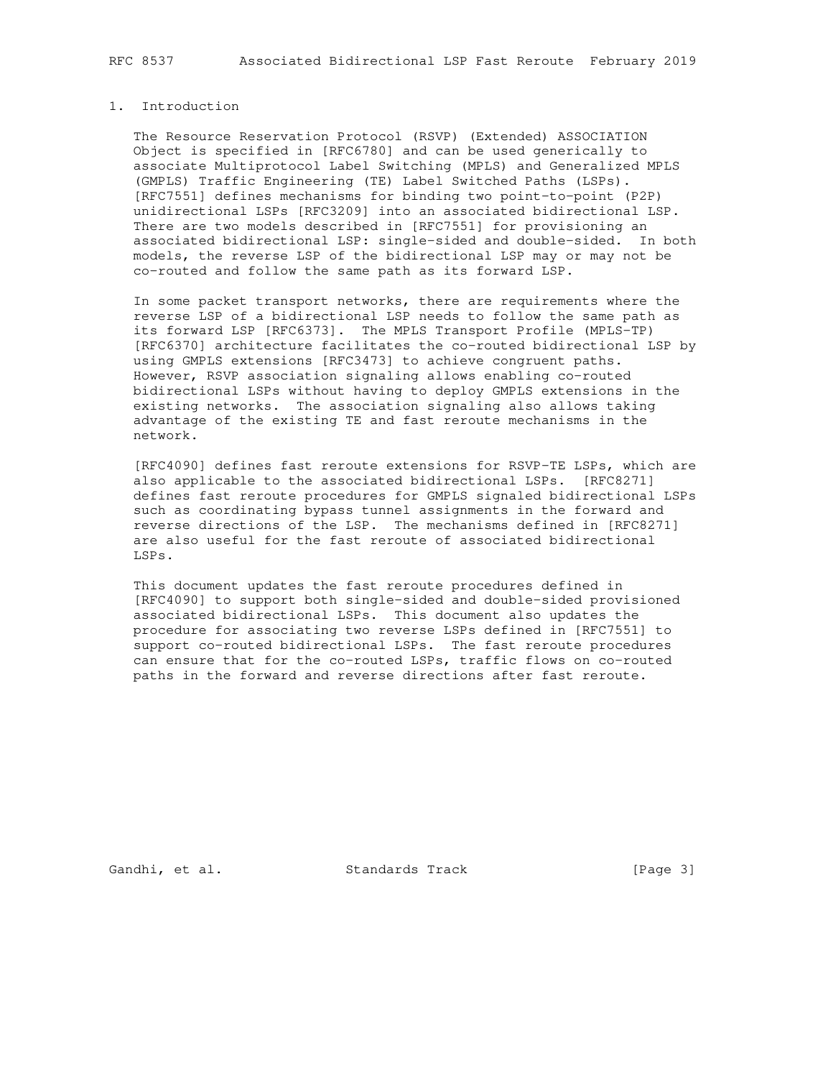### 1. Introduction

 The Resource Reservation Protocol (RSVP) (Extended) ASSOCIATION Object is specified in [RFC6780] and can be used generically to associate Multiprotocol Label Switching (MPLS) and Generalized MPLS (GMPLS) Traffic Engineering (TE) Label Switched Paths (LSPs). [RFC7551] defines mechanisms for binding two point-to-point (P2P) unidirectional LSPs [RFC3209] into an associated bidirectional LSP. There are two models described in [RFC7551] for provisioning an associated bidirectional LSP: single-sided and double-sided. In both models, the reverse LSP of the bidirectional LSP may or may not be co-routed and follow the same path as its forward LSP.

 In some packet transport networks, there are requirements where the reverse LSP of a bidirectional LSP needs to follow the same path as its forward LSP [RFC6373]. The MPLS Transport Profile (MPLS-TP) [RFC6370] architecture facilitates the co-routed bidirectional LSP by using GMPLS extensions [RFC3473] to achieve congruent paths. However, RSVP association signaling allows enabling co-routed bidirectional LSPs without having to deploy GMPLS extensions in the existing networks. The association signaling also allows taking advantage of the existing TE and fast reroute mechanisms in the network.

 [RFC4090] defines fast reroute extensions for RSVP-TE LSPs, which are also applicable to the associated bidirectional LSPs. [RFC8271] defines fast reroute procedures for GMPLS signaled bidirectional LSPs such as coordinating bypass tunnel assignments in the forward and reverse directions of the LSP. The mechanisms defined in [RFC8271] are also useful for the fast reroute of associated bidirectional LSPs.

 This document updates the fast reroute procedures defined in [RFC4090] to support both single-sided and double-sided provisioned associated bidirectional LSPs. This document also updates the procedure for associating two reverse LSPs defined in [RFC7551] to support co-routed bidirectional LSPs. The fast reroute procedures can ensure that for the co-routed LSPs, traffic flows on co-routed paths in the forward and reverse directions after fast reroute.

Gandhi, et al. Standards Track [Page 3]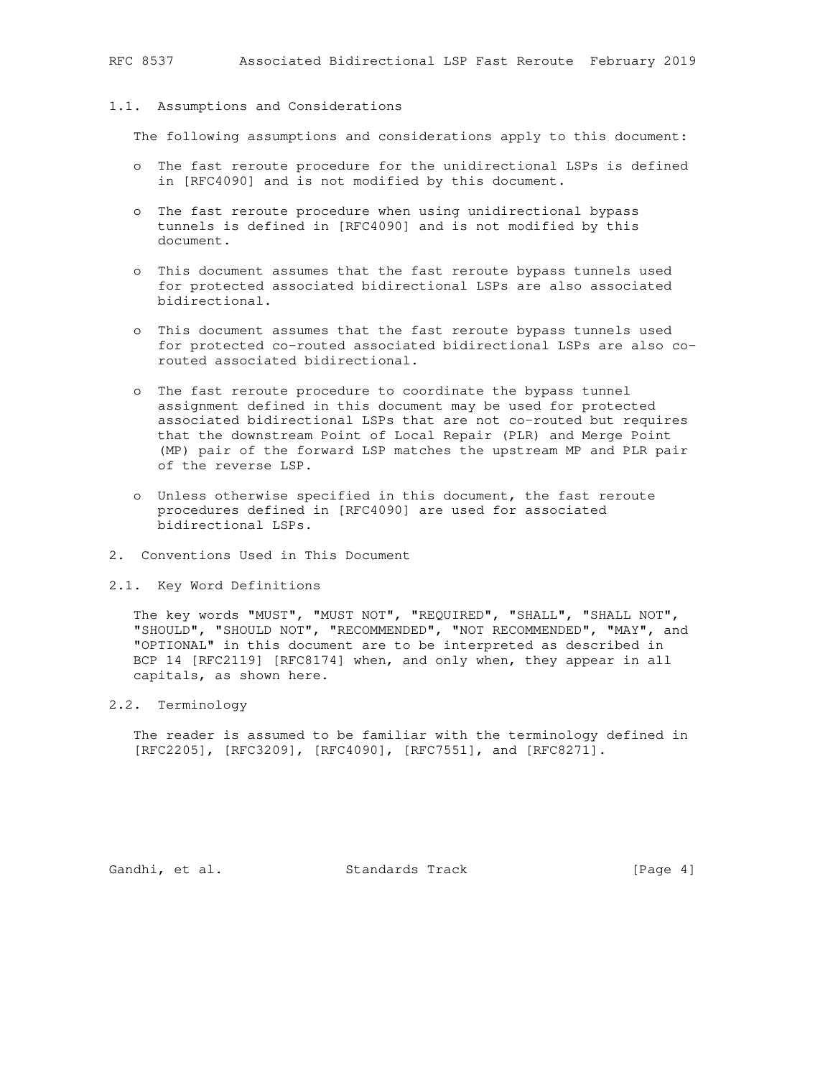#### 1.1. Assumptions and Considerations

The following assumptions and considerations apply to this document:

- o The fast reroute procedure for the unidirectional LSPs is defined in [RFC4090] and is not modified by this document.
- o The fast reroute procedure when using unidirectional bypass tunnels is defined in [RFC4090] and is not modified by this document.
- o This document assumes that the fast reroute bypass tunnels used for protected associated bidirectional LSPs are also associated bidirectional.
- o This document assumes that the fast reroute bypass tunnels used for protected co-routed associated bidirectional LSPs are also co routed associated bidirectional.
- o The fast reroute procedure to coordinate the bypass tunnel assignment defined in this document may be used for protected associated bidirectional LSPs that are not co-routed but requires that the downstream Point of Local Repair (PLR) and Merge Point (MP) pair of the forward LSP matches the upstream MP and PLR pair of the reverse LSP.
- o Unless otherwise specified in this document, the fast reroute procedures defined in [RFC4090] are used for associated bidirectional LSPs.
- 2. Conventions Used in This Document
- 2.1. Key Word Definitions

 The key words "MUST", "MUST NOT", "REQUIRED", "SHALL", "SHALL NOT", "SHOULD", "SHOULD NOT", "RECOMMENDED", "NOT RECOMMENDED", "MAY", and "OPTIONAL" in this document are to be interpreted as described in BCP 14 [RFC2119] [RFC8174] when, and only when, they appear in all capitals, as shown here.

2.2. Terminology

 The reader is assumed to be familiar with the terminology defined in [RFC2205], [RFC3209], [RFC4090], [RFC7551], and [RFC8271].

Gandhi, et al. Standards Track [Page 4]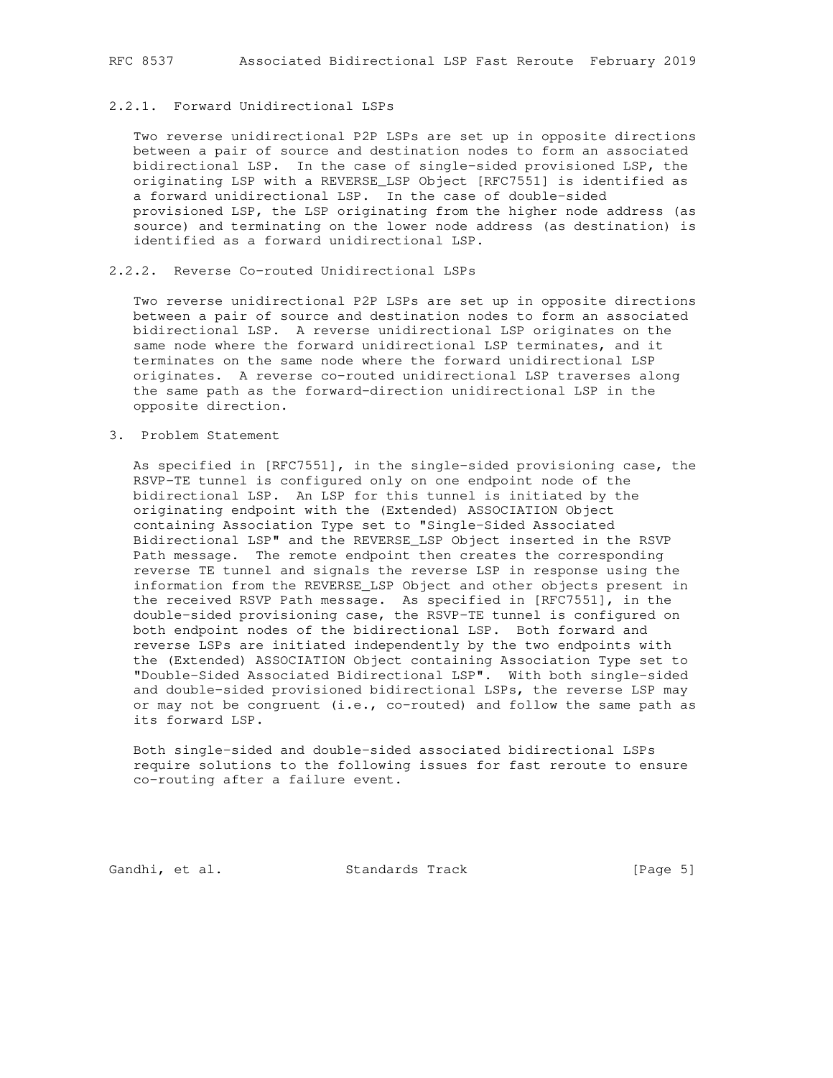### 2.2.1. Forward Unidirectional LSPs

 Two reverse unidirectional P2P LSPs are set up in opposite directions between a pair of source and destination nodes to form an associated bidirectional LSP. In the case of single-sided provisioned LSP, the originating LSP with a REVERSE\_LSP Object [RFC7551] is identified as a forward unidirectional LSP. In the case of double-sided provisioned LSP, the LSP originating from the higher node address (as source) and terminating on the lower node address (as destination) is identified as a forward unidirectional LSP.

#### 2.2.2. Reverse Co-routed Unidirectional LSPs

 Two reverse unidirectional P2P LSPs are set up in opposite directions between a pair of source and destination nodes to form an associated bidirectional LSP. A reverse unidirectional LSP originates on the same node where the forward unidirectional LSP terminates, and it terminates on the same node where the forward unidirectional LSP originates. A reverse co-routed unidirectional LSP traverses along the same path as the forward-direction unidirectional LSP in the opposite direction.

#### 3. Problem Statement

 As specified in [RFC7551], in the single-sided provisioning case, the RSVP-TE tunnel is configured only on one endpoint node of the bidirectional LSP. An LSP for this tunnel is initiated by the originating endpoint with the (Extended) ASSOCIATION Object containing Association Type set to "Single-Sided Associated Bidirectional LSP" and the REVERSE\_LSP Object inserted in the RSVP Path message. The remote endpoint then creates the corresponding reverse TE tunnel and signals the reverse LSP in response using the information from the REVERSE\_LSP Object and other objects present in the received RSVP Path message. As specified in [RFC7551], in the double-sided provisioning case, the RSVP-TE tunnel is configured on both endpoint nodes of the bidirectional LSP. Both forward and reverse LSPs are initiated independently by the two endpoints with the (Extended) ASSOCIATION Object containing Association Type set to "Double-Sided Associated Bidirectional LSP". With both single-sided and double-sided provisioned bidirectional LSPs, the reverse LSP may or may not be congruent (i.e., co-routed) and follow the same path as its forward LSP.

 Both single-sided and double-sided associated bidirectional LSPs require solutions to the following issues for fast reroute to ensure co-routing after a failure event.

Gandhi, et al. Standards Track [Page 5]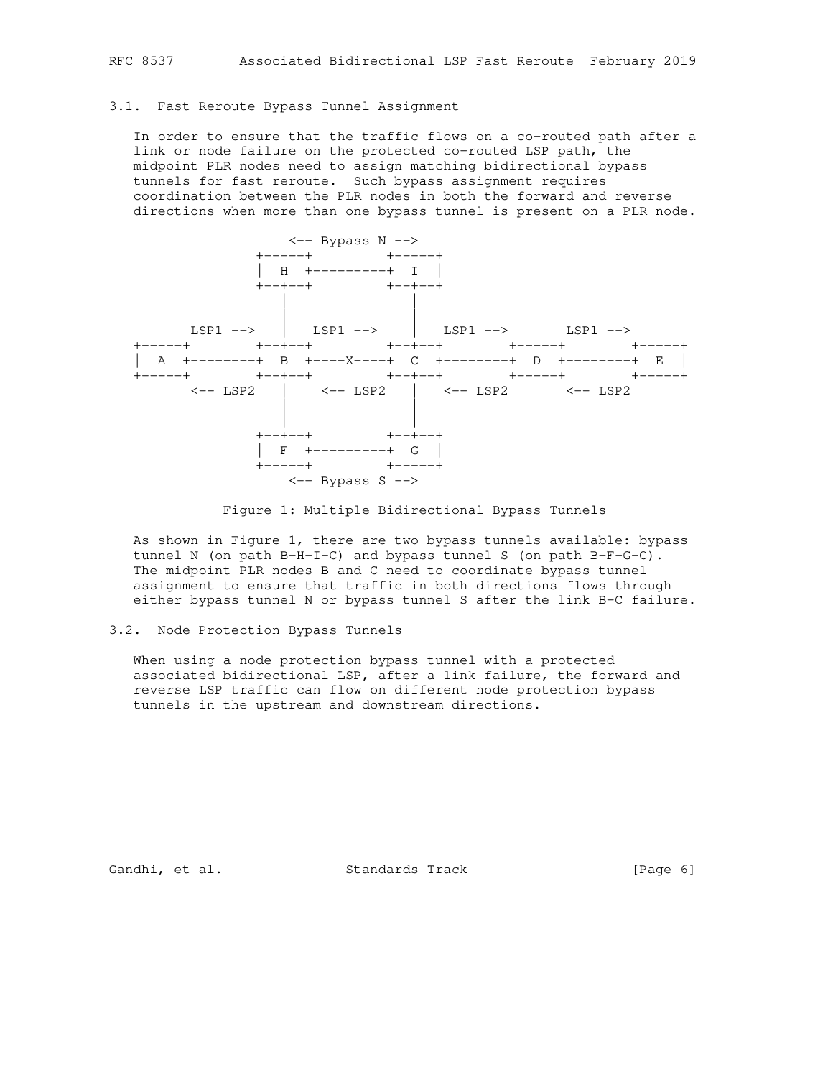### 3.1. Fast Reroute Bypass Tunnel Assignment

 In order to ensure that the traffic flows on a co-routed path after a link or node failure on the protected co-routed LSP path, the midpoint PLR nodes need to assign matching bidirectional bypass tunnels for fast reroute. Such bypass assignment requires coordination between the PLR nodes in both the forward and reverse directions when more than one bypass tunnel is present on a PLR node.



Figure 1: Multiple Bidirectional Bypass Tunnels

 As shown in Figure 1, there are two bypass tunnels available: bypass tunnel N (on path B-H-I-C) and bypass tunnel S (on path B-F-G-C). The midpoint PLR nodes B and C need to coordinate bypass tunnel assignment to ensure that traffic in both directions flows through either bypass tunnel N or bypass tunnel S after the link B-C failure.

#### 3.2. Node Protection Bypass Tunnels

 When using a node protection bypass tunnel with a protected associated bidirectional LSP, after a link failure, the forward and reverse LSP traffic can flow on different node protection bypass tunnels in the upstream and downstream directions.

Gandhi, et al. Standards Track [Page 6]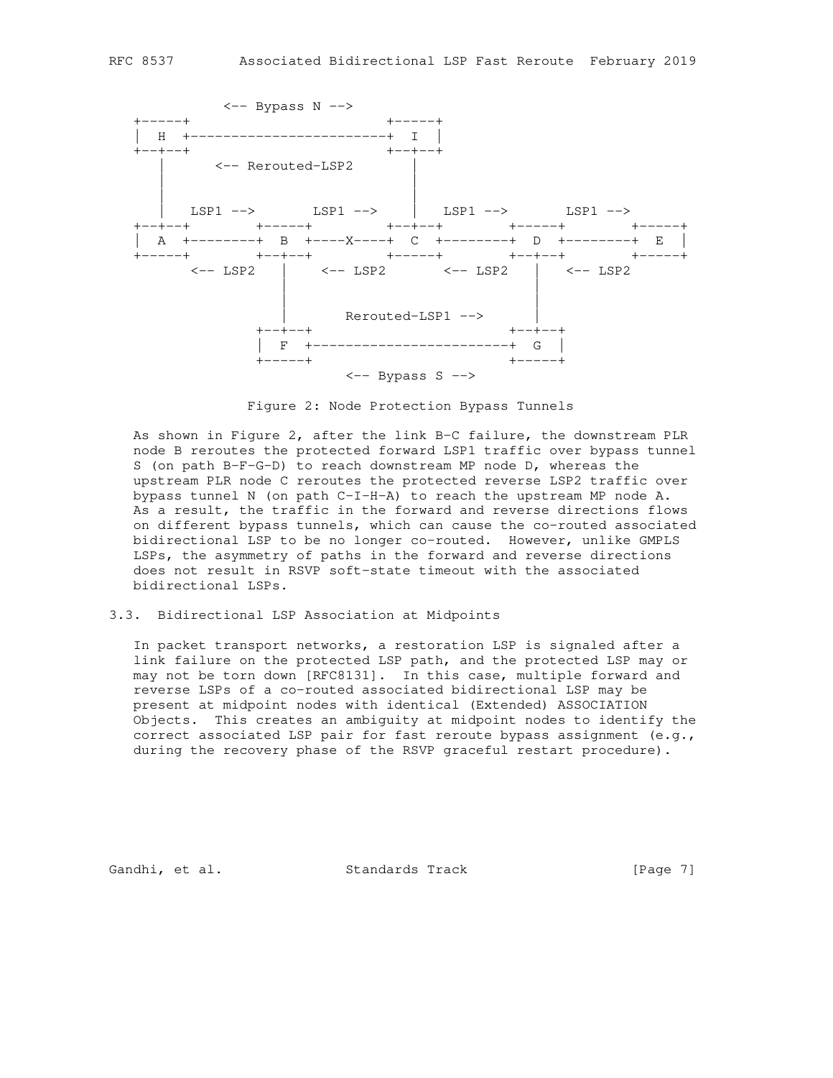

Figure 2: Node Protection Bypass Tunnels

 As shown in Figure 2, after the link B-C failure, the downstream PLR node B reroutes the protected forward LSP1 traffic over bypass tunnel S (on path B-F-G-D) to reach downstream MP node D, whereas the upstream PLR node C reroutes the protected reverse LSP2 traffic over bypass tunnel N (on path C-I-H-A) to reach the upstream MP node A. As a result, the traffic in the forward and reverse directions flows on different bypass tunnels, which can cause the co-routed associated bidirectional LSP to be no longer co-routed. However, unlike GMPLS LSPs, the asymmetry of paths in the forward and reverse directions does not result in RSVP soft-state timeout with the associated bidirectional LSPs.

#### 3.3. Bidirectional LSP Association at Midpoints

 In packet transport networks, a restoration LSP is signaled after a link failure on the protected LSP path, and the protected LSP may or may not be torn down [RFC8131]. In this case, multiple forward and reverse LSPs of a co-routed associated bidirectional LSP may be present at midpoint nodes with identical (Extended) ASSOCIATION Objects. This creates an ambiguity at midpoint nodes to identify the correct associated LSP pair for fast reroute bypass assignment (e.g., during the recovery phase of the RSVP graceful restart procedure).

Gandhi, et al. Standards Track [Page 7]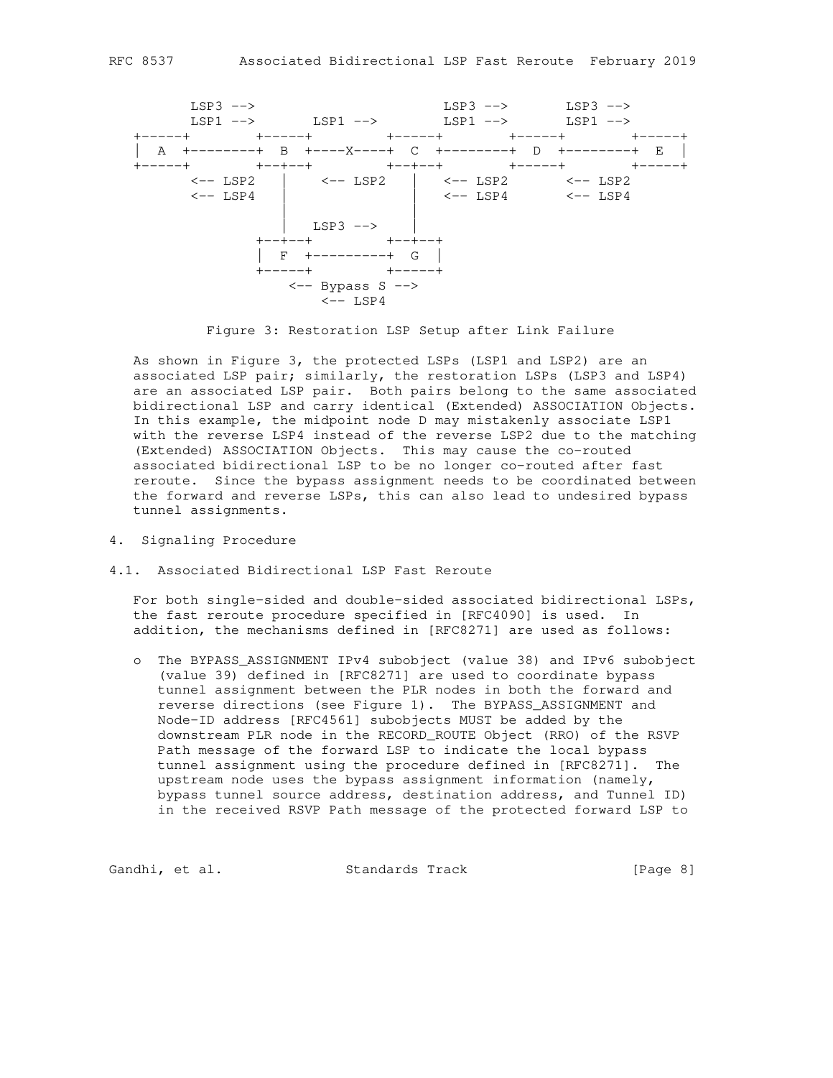

Figure 3: Restoration LSP Setup after Link Failure

 As shown in Figure 3, the protected LSPs (LSP1 and LSP2) are an associated LSP pair; similarly, the restoration LSPs (LSP3 and LSP4) are an associated LSP pair. Both pairs belong to the same associated bidirectional LSP and carry identical (Extended) ASSOCIATION Objects. In this example, the midpoint node D may mistakenly associate LSP1 with the reverse LSP4 instead of the reverse LSP2 due to the matching (Extended) ASSOCIATION Objects. This may cause the co-routed associated bidirectional LSP to be no longer co-routed after fast reroute. Since the bypass assignment needs to be coordinated between the forward and reverse LSPs, this can also lead to undesired bypass tunnel assignments.

- 4. Signaling Procedure
- 4.1. Associated Bidirectional LSP Fast Reroute

 For both single-sided and double-sided associated bidirectional LSPs, the fast reroute procedure specified in [RFC4090] is used. In addition, the mechanisms defined in [RFC8271] are used as follows:

 o The BYPASS\_ASSIGNMENT IPv4 subobject (value 38) and IPv6 subobject (value 39) defined in [RFC8271] are used to coordinate bypass tunnel assignment between the PLR nodes in both the forward and reverse directions (see Figure 1). The BYPASS\_ASSIGNMENT and Node-ID address [RFC4561] subobjects MUST be added by the downstream PLR node in the RECORD\_ROUTE Object (RRO) of the RSVP Path message of the forward LSP to indicate the local bypass tunnel assignment using the procedure defined in [RFC8271]. The upstream node uses the bypass assignment information (namely, bypass tunnel source address, destination address, and Tunnel ID) in the received RSVP Path message of the protected forward LSP to

Gandhi, et al. Standards Track [Page 8]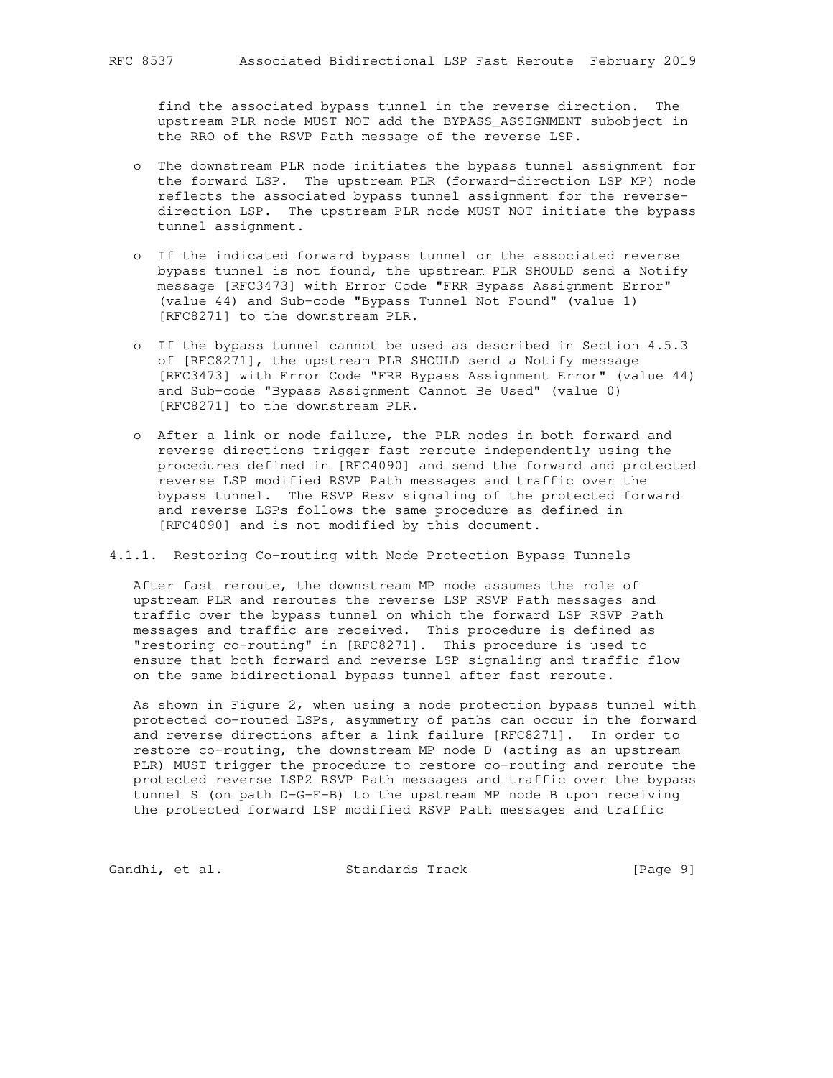find the associated bypass tunnel in the reverse direction. The upstream PLR node MUST NOT add the BYPASS\_ASSIGNMENT subobject in the RRO of the RSVP Path message of the reverse LSP.

- o The downstream PLR node initiates the bypass tunnel assignment for the forward LSP. The upstream PLR (forward-direction LSP MP) node reflects the associated bypass tunnel assignment for the reverse direction LSP. The upstream PLR node MUST NOT initiate the bypass tunnel assignment.
- o If the indicated forward bypass tunnel or the associated reverse bypass tunnel is not found, the upstream PLR SHOULD send a Notify message [RFC3473] with Error Code "FRR Bypass Assignment Error" (value 44) and Sub-code "Bypass Tunnel Not Found" (value 1) [RFC8271] to the downstream PLR.
- o If the bypass tunnel cannot be used as described in Section 4.5.3 of [RFC8271], the upstream PLR SHOULD send a Notify message [RFC3473] with Error Code "FRR Bypass Assignment Error" (value 44) and Sub-code "Bypass Assignment Cannot Be Used" (value 0) [RFC8271] to the downstream PLR.
- o After a link or node failure, the PLR nodes in both forward and reverse directions trigger fast reroute independently using the procedures defined in [RFC4090] and send the forward and protected reverse LSP modified RSVP Path messages and traffic over the bypass tunnel. The RSVP Resv signaling of the protected forward and reverse LSPs follows the same procedure as defined in [RFC4090] and is not modified by this document.
- 4.1.1. Restoring Co-routing with Node Protection Bypass Tunnels

 After fast reroute, the downstream MP node assumes the role of upstream PLR and reroutes the reverse LSP RSVP Path messages and traffic over the bypass tunnel on which the forward LSP RSVP Path messages and traffic are received. This procedure is defined as "restoring co-routing" in [RFC8271]. This procedure is used to ensure that both forward and reverse LSP signaling and traffic flow on the same bidirectional bypass tunnel after fast reroute.

 As shown in Figure 2, when using a node protection bypass tunnel with protected co-routed LSPs, asymmetry of paths can occur in the forward and reverse directions after a link failure [RFC8271]. In order to restore co-routing, the downstream MP node D (acting as an upstream PLR) MUST trigger the procedure to restore co-routing and reroute the protected reverse LSP2 RSVP Path messages and traffic over the bypass tunnel S (on path D-G-F-B) to the upstream MP node B upon receiving the protected forward LSP modified RSVP Path messages and traffic

Gandhi, et al. Standards Track [Page 9]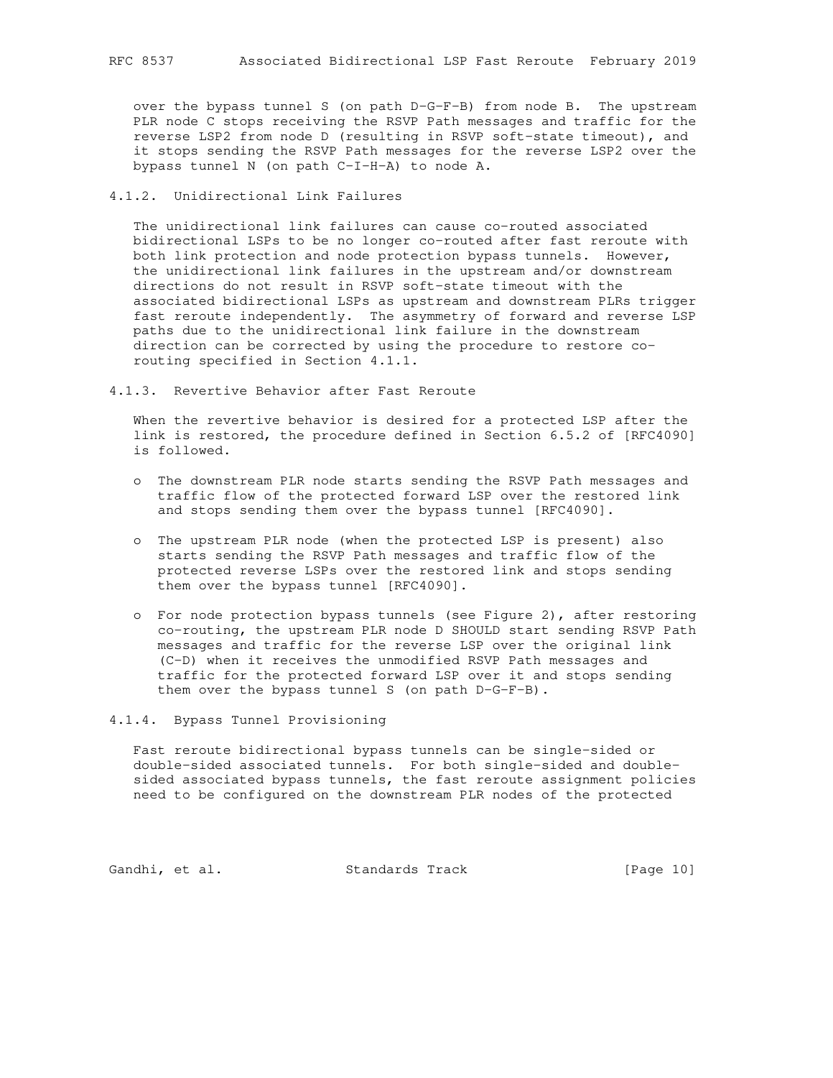over the bypass tunnel S (on path D-G-F-B) from node B. The upstream PLR node C stops receiving the RSVP Path messages and traffic for the reverse LSP2 from node D (resulting in RSVP soft-state timeout), and it stops sending the RSVP Path messages for the reverse LSP2 over the bypass tunnel N (on path C-I-H-A) to node A.

# 4.1.2. Unidirectional Link Failures

 The unidirectional link failures can cause co-routed associated bidirectional LSPs to be no longer co-routed after fast reroute with both link protection and node protection bypass tunnels. However, the unidirectional link failures in the upstream and/or downstream directions do not result in RSVP soft-state timeout with the associated bidirectional LSPs as upstream and downstream PLRs trigger fast reroute independently. The asymmetry of forward and reverse LSP paths due to the unidirectional link failure in the downstream direction can be corrected by using the procedure to restore co routing specified in Section 4.1.1.

4.1.3. Revertive Behavior after Fast Reroute

 When the revertive behavior is desired for a protected LSP after the link is restored, the procedure defined in Section 6.5.2 of [RFC4090] is followed.

- o The downstream PLR node starts sending the RSVP Path messages and traffic flow of the protected forward LSP over the restored link and stops sending them over the bypass tunnel [RFC4090].
- o The upstream PLR node (when the protected LSP is present) also starts sending the RSVP Path messages and traffic flow of the protected reverse LSPs over the restored link and stops sending them over the bypass tunnel [RFC4090].
- o For node protection bypass tunnels (see Figure 2), after restoring co-routing, the upstream PLR node D SHOULD start sending RSVP Path messages and traffic for the reverse LSP over the original link (C-D) when it receives the unmodified RSVP Path messages and traffic for the protected forward LSP over it and stops sending them over the bypass tunnel S (on path D-G-F-B).

### 4.1.4. Bypass Tunnel Provisioning

 Fast reroute bidirectional bypass tunnels can be single-sided or double-sided associated tunnels. For both single-sided and double sided associated bypass tunnels, the fast reroute assignment policies need to be configured on the downstream PLR nodes of the protected

Gandhi, et al. Standards Track [Page 10]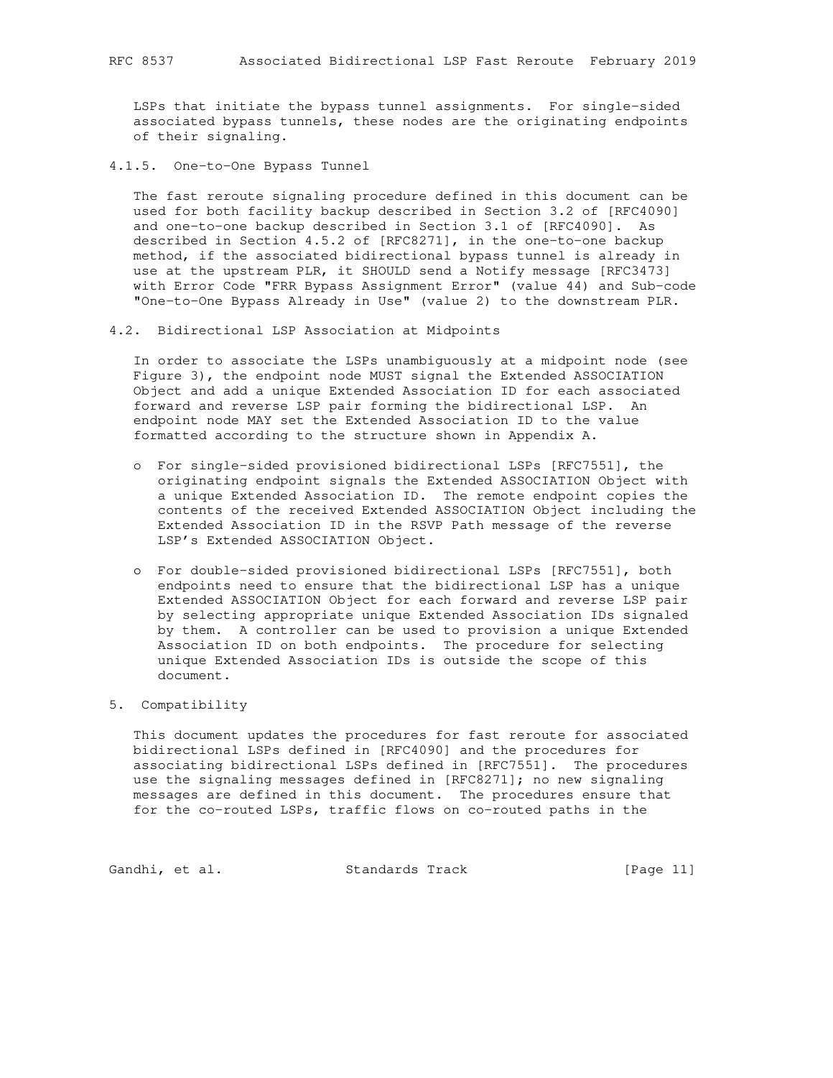LSPs that initiate the bypass tunnel assignments. For single-sided associated bypass tunnels, these nodes are the originating endpoints of their signaling.

4.1.5. One-to-One Bypass Tunnel

 The fast reroute signaling procedure defined in this document can be used for both facility backup described in Section 3.2 of [RFC4090] and one-to-one backup described in Section 3.1 of [RFC4090]. As described in Section 4.5.2 of [RFC8271], in the one-to-one backup method, if the associated bidirectional bypass tunnel is already in use at the upstream PLR, it SHOULD send a Notify message [RFC3473] with Error Code "FRR Bypass Assignment Error" (value 44) and Sub-code "One-to-One Bypass Already in Use" (value 2) to the downstream PLR.

4.2. Bidirectional LSP Association at Midpoints

 In order to associate the LSPs unambiguously at a midpoint node (see Figure 3), the endpoint node MUST signal the Extended ASSOCIATION Object and add a unique Extended Association ID for each associated forward and reverse LSP pair forming the bidirectional LSP. An endpoint node MAY set the Extended Association ID to the value formatted according to the structure shown in Appendix A.

- o For single-sided provisioned bidirectional LSPs [RFC7551], the originating endpoint signals the Extended ASSOCIATION Object with a unique Extended Association ID. The remote endpoint copies the contents of the received Extended ASSOCIATION Object including the Extended Association ID in the RSVP Path message of the reverse LSP's Extended ASSOCIATION Object.
- o For double-sided provisioned bidirectional LSPs [RFC7551], both endpoints need to ensure that the bidirectional LSP has a unique Extended ASSOCIATION Object for each forward and reverse LSP pair by selecting appropriate unique Extended Association IDs signaled by them. A controller can be used to provision a unique Extended Association ID on both endpoints. The procedure for selecting unique Extended Association IDs is outside the scope of this document.

### 5. Compatibility

 This document updates the procedures for fast reroute for associated bidirectional LSPs defined in [RFC4090] and the procedures for associating bidirectional LSPs defined in [RFC7551]. The procedures use the signaling messages defined in [RFC8271]; no new signaling messages are defined in this document. The procedures ensure that for the co-routed LSPs, traffic flows on co-routed paths in the

Gandhi, et al. Standards Track [Page 11]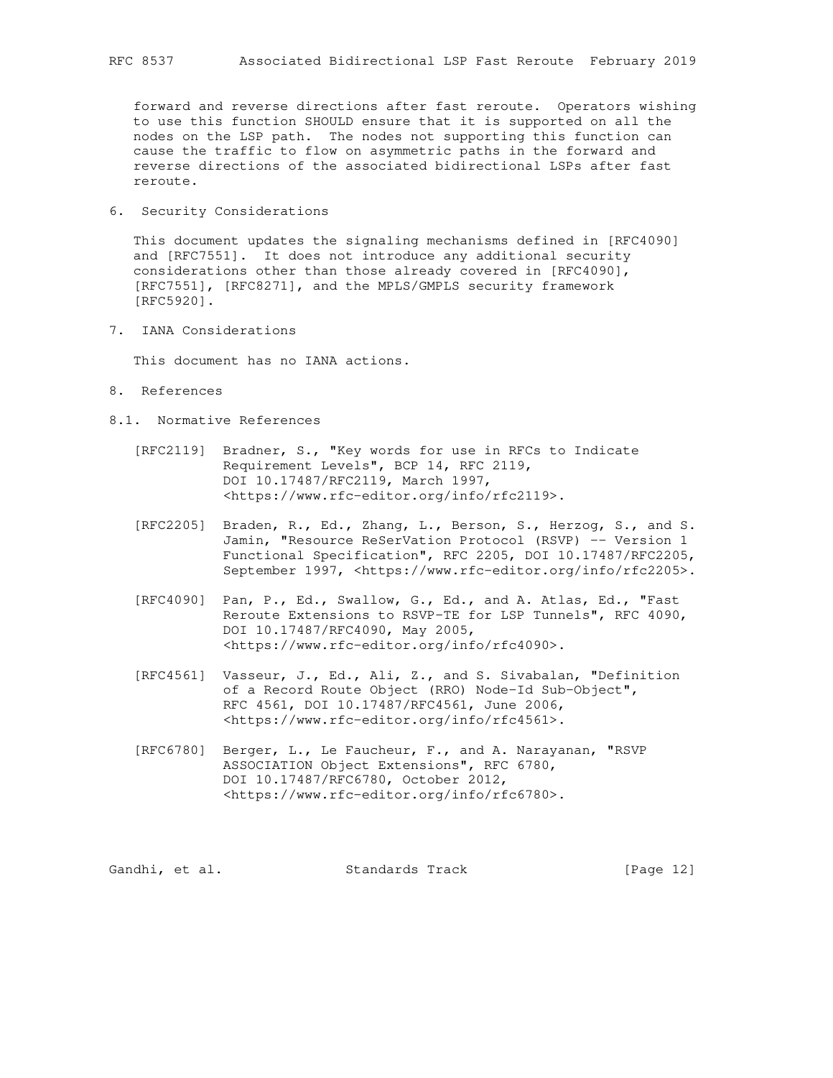forward and reverse directions after fast reroute. Operators wishing to use this function SHOULD ensure that it is supported on all the nodes on the LSP path. The nodes not supporting this function can cause the traffic to flow on asymmetric paths in the forward and reverse directions of the associated bidirectional LSPs after fast reroute.

6. Security Considerations

 This document updates the signaling mechanisms defined in [RFC4090] and [RFC7551]. It does not introduce any additional security considerations other than those already covered in [RFC4090], [RFC7551], [RFC8271], and the MPLS/GMPLS security framework [RFC5920].

7. IANA Considerations

This document has no IANA actions.

- 8. References
- 8.1. Normative References
	- [RFC2119] Bradner, S., "Key words for use in RFCs to Indicate Requirement Levels", BCP 14, RFC 2119, DOI 10.17487/RFC2119, March 1997, <https://www.rfc-editor.org/info/rfc2119>.
	- [RFC2205] Braden, R., Ed., Zhang, L., Berson, S., Herzog, S., and S. Jamin, "Resource ReSerVation Protocol (RSVP) -- Version 1 Functional Specification", RFC 2205, DOI 10.17487/RFC2205, September 1997, <https://www.rfc-editor.org/info/rfc2205>.
	- [RFC4090] Pan, P., Ed., Swallow, G., Ed., and A. Atlas, Ed., "Fast Reroute Extensions to RSVP-TE for LSP Tunnels", RFC 4090, DOI 10.17487/RFC4090, May 2005, <https://www.rfc-editor.org/info/rfc4090>.
	- [RFC4561] Vasseur, J., Ed., Ali, Z., and S. Sivabalan, "Definition of a Record Route Object (RRO) Node-Id Sub-Object", RFC 4561, DOI 10.17487/RFC4561, June 2006, <https://www.rfc-editor.org/info/rfc4561>.
	- [RFC6780] Berger, L., Le Faucheur, F., and A. Narayanan, "RSVP ASSOCIATION Object Extensions", RFC 6780, DOI 10.17487/RFC6780, October 2012, <https://www.rfc-editor.org/info/rfc6780>.

Gandhi, et al. Standards Track [Page 12]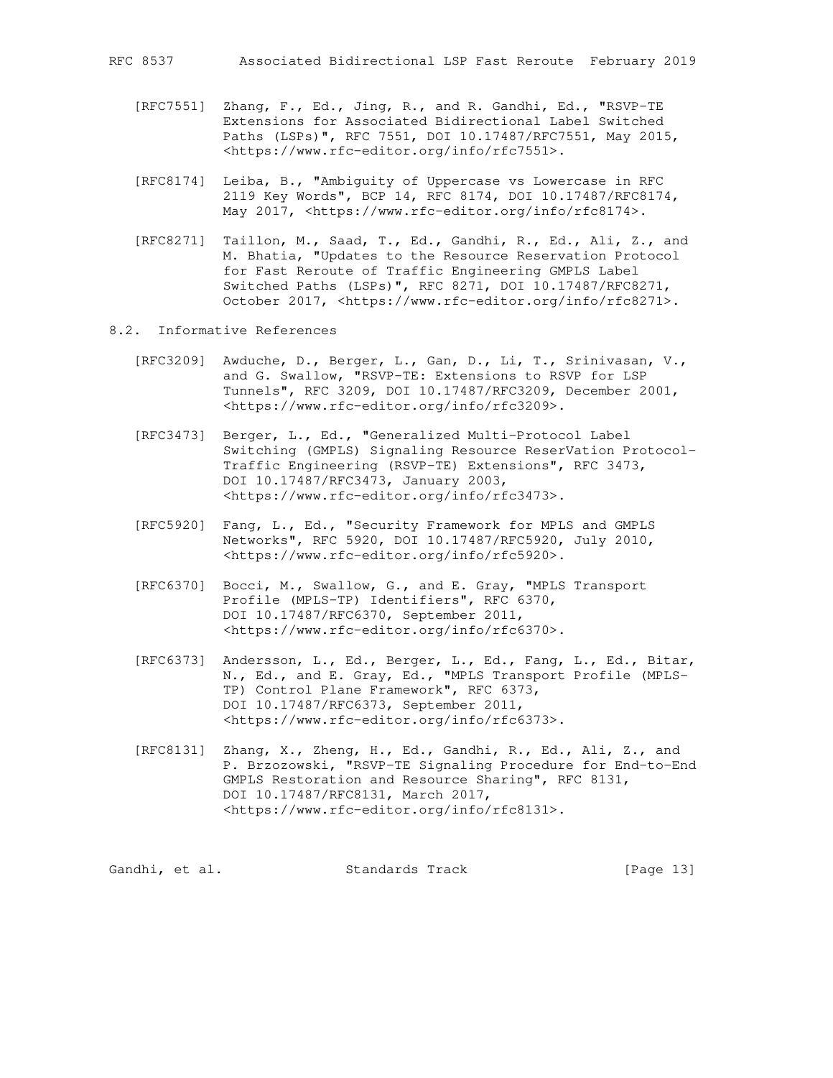- [RFC7551] Zhang, F., Ed., Jing, R., and R. Gandhi, Ed., "RSVP-TE Extensions for Associated Bidirectional Label Switched Paths (LSPs)", RFC 7551, DOI 10.17487/RFC7551, May 2015, <https://www.rfc-editor.org/info/rfc7551>.
- [RFC8174] Leiba, B., "Ambiguity of Uppercase vs Lowercase in RFC 2119 Key Words", BCP 14, RFC 8174, DOI 10.17487/RFC8174, May 2017, <https://www.rfc-editor.org/info/rfc8174>.
- [RFC8271] Taillon, M., Saad, T., Ed., Gandhi, R., Ed., Ali, Z., and M. Bhatia, "Updates to the Resource Reservation Protocol for Fast Reroute of Traffic Engineering GMPLS Label Switched Paths (LSPs)", RFC 8271, DOI 10.17487/RFC8271, October 2017, <https://www.rfc-editor.org/info/rfc8271>.
- 8.2. Informative References
	- [RFC3209] Awduche, D., Berger, L., Gan, D., Li, T., Srinivasan, V., and G. Swallow, "RSVP-TE: Extensions to RSVP for LSP Tunnels", RFC 3209, DOI 10.17487/RFC3209, December 2001, <https://www.rfc-editor.org/info/rfc3209>.
	- [RFC3473] Berger, L., Ed., "Generalized Multi-Protocol Label Switching (GMPLS) Signaling Resource ReserVation Protocol- Traffic Engineering (RSVP-TE) Extensions", RFC 3473, DOI 10.17487/RFC3473, January 2003, <https://www.rfc-editor.org/info/rfc3473>.
	- [RFC5920] Fang, L., Ed., "Security Framework for MPLS and GMPLS Networks", RFC 5920, DOI 10.17487/RFC5920, July 2010, <https://www.rfc-editor.org/info/rfc5920>.
	- [RFC6370] Bocci, M., Swallow, G., and E. Gray, "MPLS Transport Profile (MPLS-TP) Identifiers", RFC 6370, DOI 10.17487/RFC6370, September 2011, <https://www.rfc-editor.org/info/rfc6370>.
- [RFC6373] Andersson, L., Ed., Berger, L., Ed., Fang, L., Ed., Bitar, N., Ed., and E. Gray, Ed., "MPLS Transport Profile (MPLS- TP) Control Plane Framework", RFC 6373, DOI 10.17487/RFC6373, September 2011, <https://www.rfc-editor.org/info/rfc6373>.
	- [RFC8131] Zhang, X., Zheng, H., Ed., Gandhi, R., Ed., Ali, Z., and P. Brzozowski, "RSVP-TE Signaling Procedure for End-to-End GMPLS Restoration and Resource Sharing", RFC 8131, DOI 10.17487/RFC8131, March 2017, <https://www.rfc-editor.org/info/rfc8131>.

| [Page $13$ ]<br>Gandhi, et al.<br>Standards Track |
|---------------------------------------------------|
|---------------------------------------------------|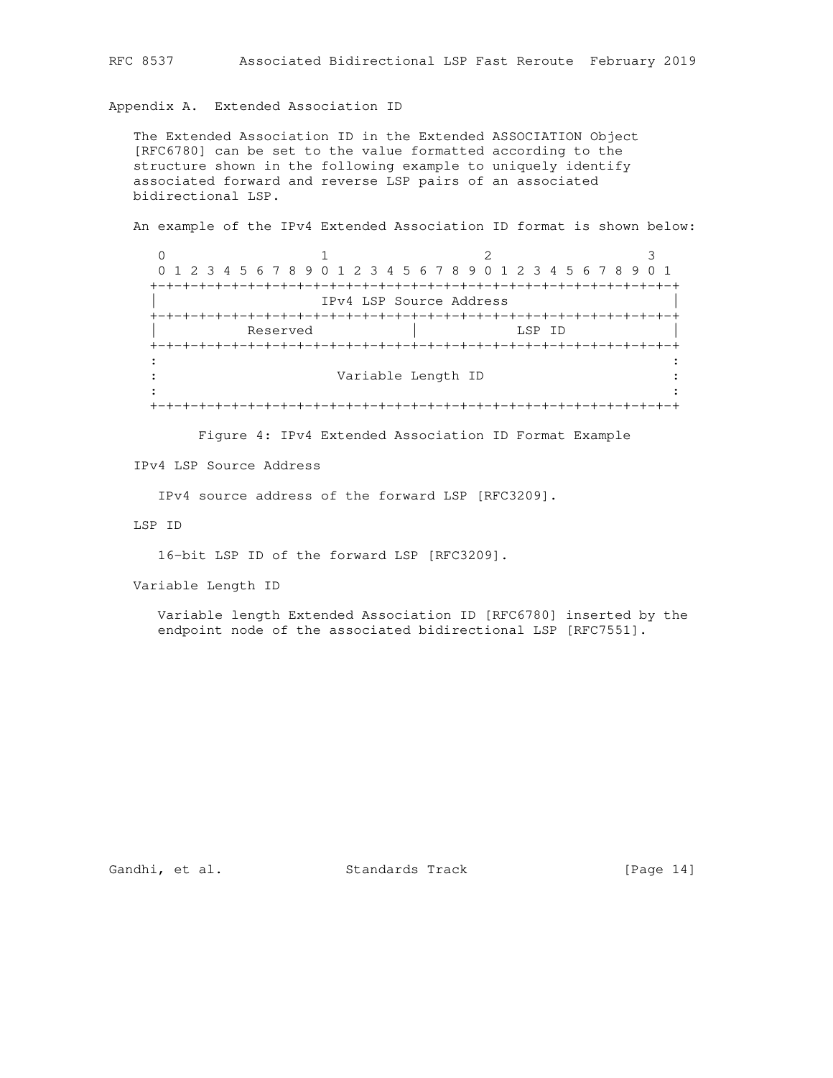Appendix A. Extended Association ID

 The Extended Association ID in the Extended ASSOCIATION Object [RFC6780] can be set to the value formatted according to the structure shown in the following example to uniquely identify associated forward and reverse LSP pairs of an associated bidirectional LSP.

An example of the IPv4 Extended Association ID format is shown below:

0  $1$  2 3 0 1 2 3 4 5 6 7 8 9 0 1 2 3 4 5 6 7 8 9 0 1 2 3 4 5 6 7 8 9 0 1 +-+-+-+-+-+-+-+-+-+-+-+-+-+-+-+-+-+-+-+-+-+-+-+-+-+-+-+-+-+-+-+-+ IPv4 LSP Source Address +-+-+-+-+-+-+-+-+-+-+-+-+-+-+-+-+-+-+-+-+-+-+-+-+-+-+-+-+-+-+-+-+ Reserved and the LSP ID +-+-+-+-+-+-+-+-+-+-+-+-+-+-+-+-+-+-+-+-+-+-+-+-+-+-+-+-+-+-+-+-+ in the second control of the second control of the second control of the second control of the second control o : Variable Length ID : in the second contract of the second contract of the second contract of the second contract of the second contract of the second contract of the second contract of the second contract of the second contract of the second c +-+-+-+-+-+-+-+-+-+-+-+-+-+-+-+-+-+-+-+-+-+-+-+-+-+-+-+-+-+-+-+-+

Figure 4: IPv4 Extended Association ID Format Example

IPv4 LSP Source Address

IPv4 source address of the forward LSP [RFC3209].

LSP ID

16-bit LSP ID of the forward LSP [RFC3209].

Variable Length ID

 Variable length Extended Association ID [RFC6780] inserted by the endpoint node of the associated bidirectional LSP [RFC7551].

Gandhi, et al. Standards Track [Page 14]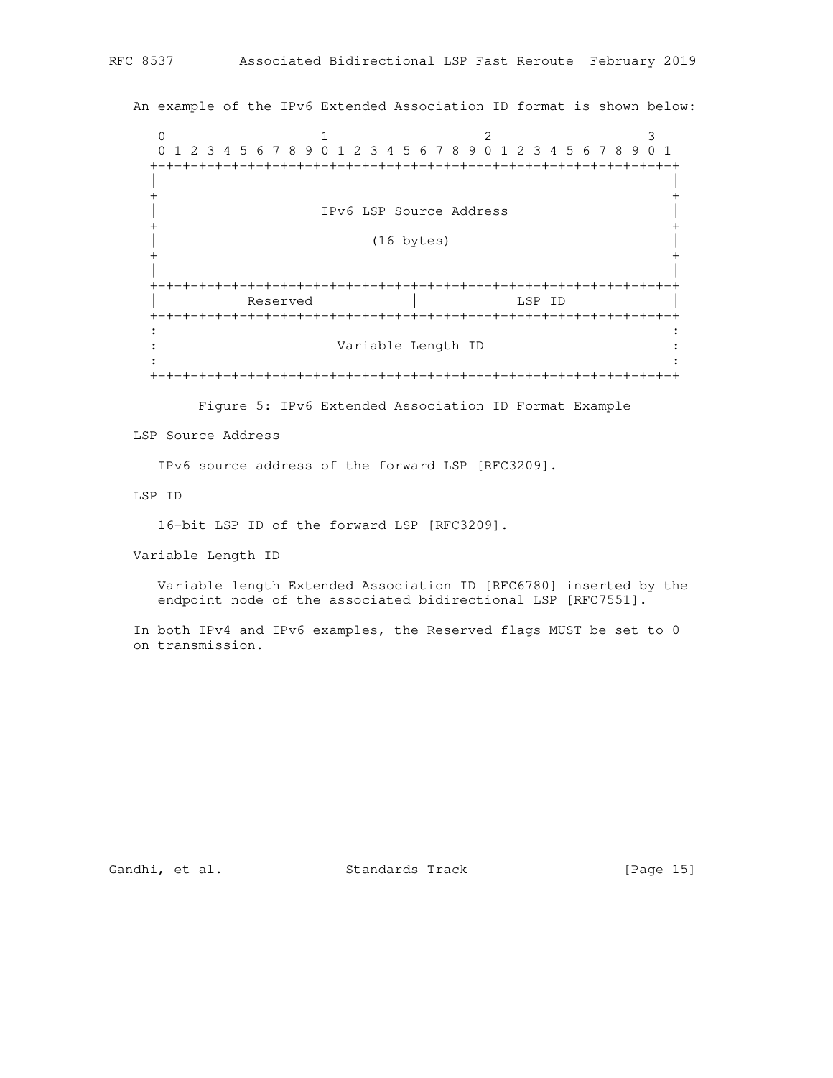An example of the IPv6 Extended Association ID format is shown below: 0  $1$  2 3 0 1 2 3 4 5 6 7 8 9 0 1 2 3 4 5 6 7 8 9 0 1 2 3 4 5 6 7 8 9 0 1 +-+-+-+-+-+-+-+-+-+-+-+-+-+-+-+-+-+-+-+-+-+-+-+-+-+-+-+-+-+-+-+-+ | | + + | IPv6 LSP Source Address | + + (16 bytes) + + | | +-+-+-+-+-+-+-+-+-+-+-+-+-+-+-+-+-+-+-+-+-+-+-+-+-+-+-+-+-+-+-+-+ Reserved | LSP ID +-+-+-+-+-+-+-+-+-+-+-+-+-+-+-+-+-+-+-+-+-+-+-+-+-+-+-+-+-+-+-+-+ in the second contract of the second contract of the second contract of the second contract of the second contract of the second contract of the second contract of the second contract of the second contract of the second c : Variable Length ID : in the second control of the second control of the second control of the second control of the second control o +-+-+-+-+-+-+-+-+-+-+-+-+-+-+-+-+-+-+-+-+-+-+-+-+-+-+-+-+-+-+-+-+

Figure 5: IPv6 Extended Association ID Format Example

LSP Source Address

IPv6 source address of the forward LSP [RFC3209].

LSP ID

16-bit LSP ID of the forward LSP [RFC3209].

Variable Length ID

 Variable length Extended Association ID [RFC6780] inserted by the endpoint node of the associated bidirectional LSP [RFC7551].

 In both IPv4 and IPv6 examples, the Reserved flags MUST be set to 0 on transmission.

Gandhi, et al. Standards Track [Page 15]